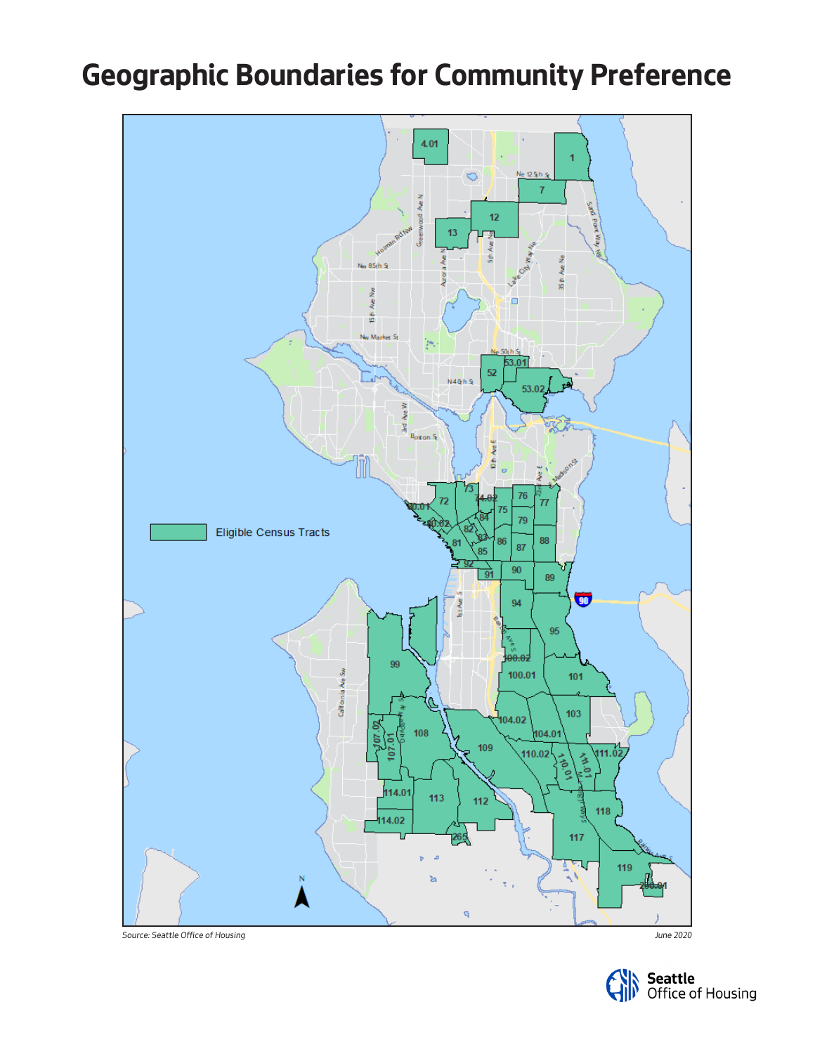## **Geographic Boundaries for Community Preference**